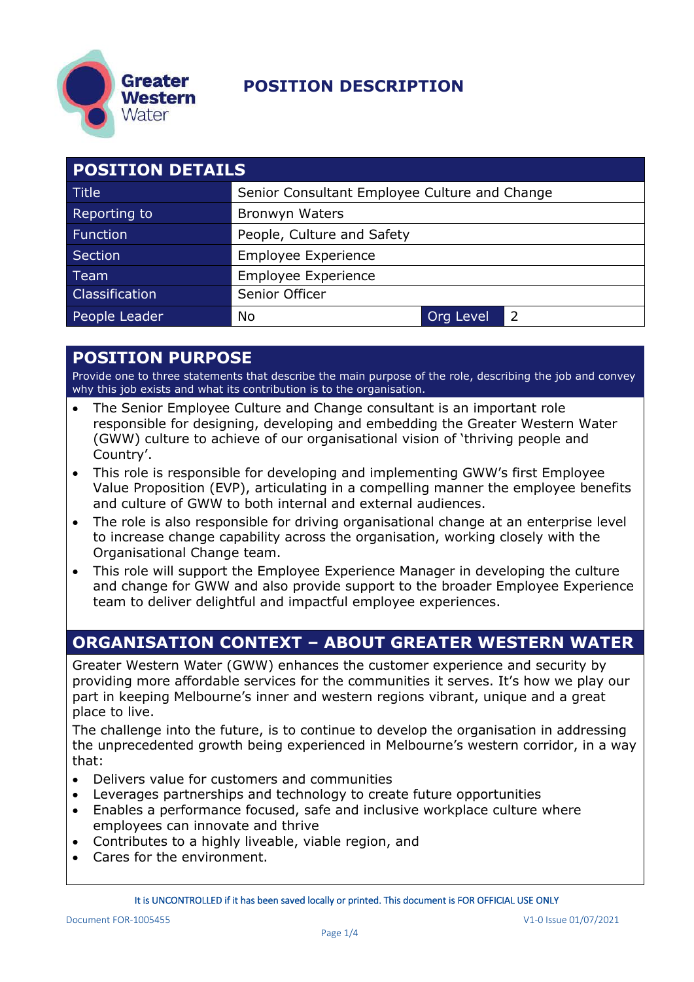

| <b>POSITION DETAILS</b> |                                               |           |               |
|-------------------------|-----------------------------------------------|-----------|---------------|
| <b>Title</b>            | Senior Consultant Employee Culture and Change |           |               |
| Reporting to            | Bronwyn Waters                                |           |               |
| <b>Function</b>         | People, Culture and Safety                    |           |               |
| <b>Section</b>          | <b>Employee Experience</b>                    |           |               |
| Team                    | <b>Employee Experience</b>                    |           |               |
| Classification          | Senior Officer                                |           |               |
| People Leader           | No                                            | Org Level | $\mathcal{L}$ |

#### **POSITION PURPOSE**

Provide one to three statements that describe the main purpose of the role, describing the job and convey why this job exists and what its contribution is to the organisation.

- The Senior Employee Culture and Change consultant is an important role responsible for designing, developing and embedding the Greater Western Water (GWW) culture to achieve of our organisational vision of 'thriving people and Country'.
- This role is responsible for developing and implementing GWW's first Employee Value Proposition (EVP), articulating in a compelling manner the employee benefits and culture of GWW to both internal and external audiences.
- The role is also responsible for driving organisational change at an enterprise level to increase change capability across the organisation, working closely with the Organisational Change team.
- This role will support the Employee Experience Manager in developing the culture and change for GWW and also provide support to the broader Employee Experience team to deliver delightful and impactful employee experiences.

### **ORGANISATION CONTEXT – ABOUT GREATER WESTERN WATER**

Greater Western Water (GWW) enhances the customer experience and security by providing more affordable services for the communities it serves. It's how we play our part in keeping Melbourne's inner and western regions vibrant, unique and a great place to live.

The challenge into the future, is to continue to develop the organisation in addressing the unprecedented growth being experienced in Melbourne's western corridor, in a way that:

- Delivers value for customers and communities
- Leverages partnerships and technology to create future opportunities
- Enables a performance focused, safe and inclusive workplace culture where employees can innovate and thrive
- Contributes to a highly liveable, viable region, and
- Cares for the environment.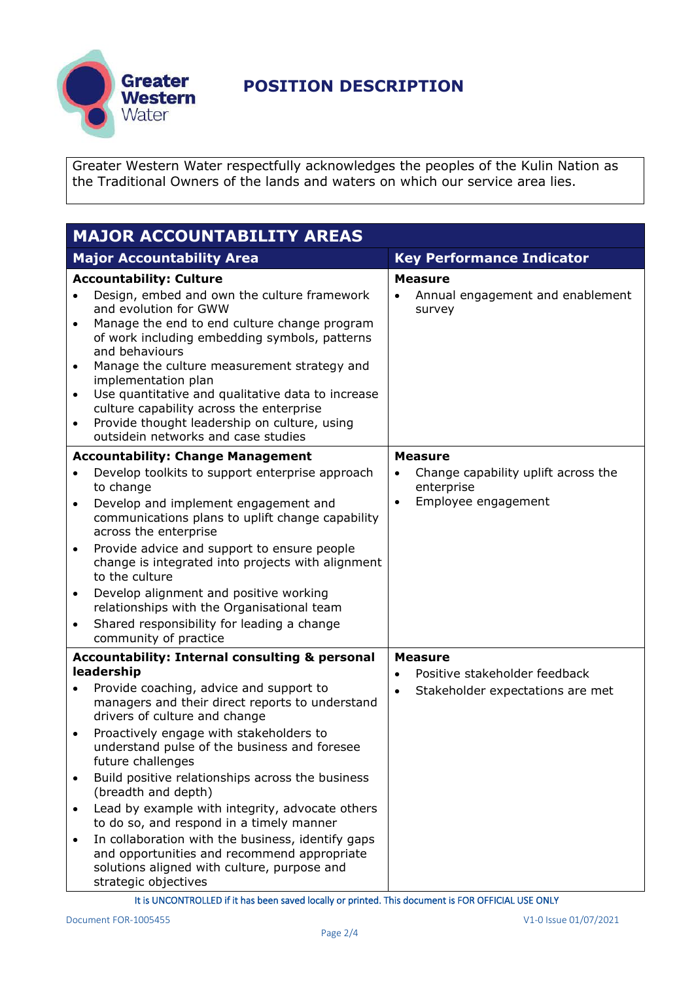

Greater Western Water respectfully acknowledges the peoples of the Kulin Nation as the Traditional Owners of the lands and waters on which our service area lies.

| <b>MAJOR ACCOUNTABILITY AREAS</b> |                                                                                                                                                                         |           |                                                   |
|-----------------------------------|-------------------------------------------------------------------------------------------------------------------------------------------------------------------------|-----------|---------------------------------------------------|
|                                   | <b>Major Accountability Area</b>                                                                                                                                        |           | <b>Key Performance Indicator</b>                  |
|                                   | <b>Accountability: Culture</b>                                                                                                                                          |           | <b>Measure</b>                                    |
| $\bullet$                         | Design, embed and own the culture framework<br>and evolution for GWW<br>Manage the end to end culture change program<br>of work including embedding symbols, patterns   |           | Annual engagement and enablement<br>survey        |
| $\bullet$<br>$\bullet$            | and behaviours<br>Manage the culture measurement strategy and<br>implementation plan<br>Use quantitative and qualitative data to increase                               |           |                                                   |
| $\bullet$                         | culture capability across the enterprise<br>Provide thought leadership on culture, using<br>outsidein networks and case studies                                         |           |                                                   |
|                                   | <b>Accountability: Change Management</b>                                                                                                                                |           | <b>Measure</b>                                    |
| $\bullet$                         | Develop toolkits to support enterprise approach<br>to change                                                                                                            |           | Change capability uplift across the<br>enterprise |
| $\bullet$                         | Develop and implement engagement and<br>communications plans to uplift change capability<br>across the enterprise                                                       | $\bullet$ | Employee engagement                               |
| $\bullet$                         | Provide advice and support to ensure people<br>change is integrated into projects with alignment<br>to the culture                                                      |           |                                                   |
| $\bullet$                         | Develop alignment and positive working<br>relationships with the Organisational team                                                                                    |           |                                                   |
| $\bullet$                         | Shared responsibility for leading a change<br>community of practice                                                                                                     |           |                                                   |
|                                   | <b>Accountability: Internal consulting &amp; personal</b>                                                                                                               |           | <b>Measure</b>                                    |
|                                   | leadership                                                                                                                                                              | $\bullet$ | Positive stakeholder feedback                     |
| $\bullet$                         | Provide coaching, advice and support to<br>managers and their direct reports to understand<br>drivers of culture and change                                             | $\bullet$ | Stakeholder expectations are met                  |
| $\bullet$                         | Proactively engage with stakeholders to<br>understand pulse of the business and foresee<br>future challenges                                                            |           |                                                   |
| $\bullet$                         | Build positive relationships across the business<br>(breadth and depth)                                                                                                 |           |                                                   |
| $\bullet$                         | Lead by example with integrity, advocate others<br>to do so, and respond in a timely manner                                                                             |           |                                                   |
| $\bullet$                         | In collaboration with the business, identify gaps<br>and opportunities and recommend appropriate<br>solutions aligned with culture, purpose and<br>strategic objectives |           |                                                   |

It is UNCONTROLLED if it has been saved locally or printed. This document is FOR OFFICIAL USE ONLY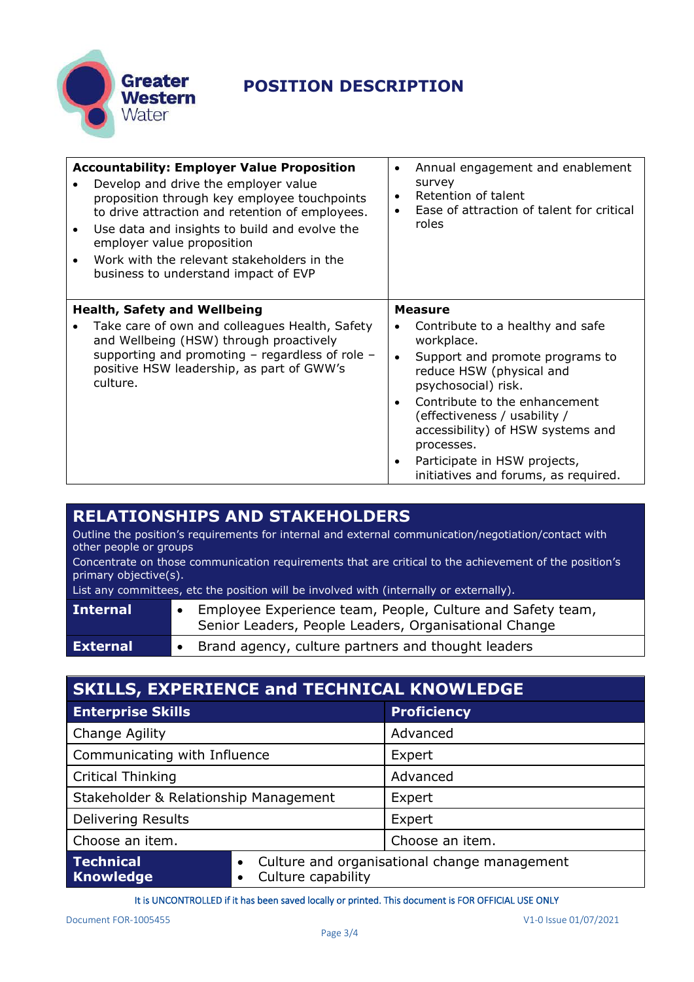

| <b>Accountability: Employer Value Proposition</b><br>Develop and drive the employer value<br>proposition through key employee touchpoints<br>to drive attraction and retention of employees.<br>Use data and insights to build and evolve the<br>employer value proposition<br>Work with the relevant stakeholders in the<br>business to understand impact of EVP | Annual engagement and enablement<br>survey<br>Retention of talent<br>Ease of attraction of talent for critical<br>roles                                                                                                                                      |
|-------------------------------------------------------------------------------------------------------------------------------------------------------------------------------------------------------------------------------------------------------------------------------------------------------------------------------------------------------------------|--------------------------------------------------------------------------------------------------------------------------------------------------------------------------------------------------------------------------------------------------------------|
| <b>Health, Safety and Wellbeing</b><br>Take care of own and colleagues Health, Safety<br>and Wellbeing (HSW) through proactively<br>supporting and promoting $-$ regardless of role $-$<br>positive HSW leadership, as part of GWW's<br>culture.                                                                                                                  | <b>Measure</b><br>Contribute to a healthy and safe<br>workplace.<br>Support and promote programs to<br>reduce HSW (physical and<br>psychosocial) risk.<br>Contribute to the enhancement<br>(effectiveness / usability /<br>accessibility) of HSW systems and |
|                                                                                                                                                                                                                                                                                                                                                                   | processes.<br>Participate in HSW projects,<br>initiatives and forums, as required.                                                                                                                                                                           |

#### **RELATIONSHIPS AND STAKEHOLDERS**

Outline the position's requirements for internal and external communication/negotiation/contact with other people or groups

Concentrate on those communication requirements that are critical to the achievement of the position's primary objective(s).

List any committees, etc the position will be involved with (internally or externally).

| Senior Leaders, People Leaders, Organisational Change                   |  |
|-------------------------------------------------------------------------|--|
| • Brand agency, culture partners and thought leaders<br><b>External</b> |  |

| <b>SKILLS, EXPERIENCE and TECHNICAL KNOWLEDGE</b> |                    |                                              |  |
|---------------------------------------------------|--------------------|----------------------------------------------|--|
| <b>Enterprise Skills</b>                          |                    | <b>Proficiency</b>                           |  |
| Change Agility                                    |                    | Advanced                                     |  |
| Communicating with Influence                      |                    | Expert                                       |  |
| <b>Critical Thinking</b>                          |                    | Advanced                                     |  |
| Stakeholder & Relationship Management             |                    | Expert                                       |  |
| <b>Delivering Results</b>                         |                    | Expert                                       |  |
| Choose an item.                                   |                    | Choose an item.                              |  |
| <b>Technical</b><br><b>Knowledge</b>              | Culture capability | Culture and organisational change management |  |

It is UNCONTROLLED if it has been saved locally or printed. This document is FOR OFFICIAL USE ONLY